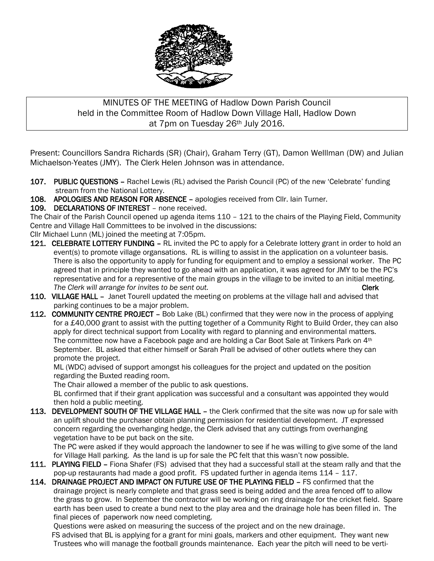

## MINUTES OF THE MEETING of Hadlow Down Parish Council held in the Committee Room of Hadlow Down Village Hall, Hadlow Down at 7pm on Tuesday 26th July 2016.

Present: Councillors Sandra Richards (SR) (Chair), Graham Terry (GT), Damon Welllman (DW) and Julian Michaelson-Yeates (JMY). The Clerk Helen Johnson was in attendance.

- 107. PUBLIC QUESTIONS Rachel Lewis (RL) advised the Parish Council (PC) of the new 'Celebrate' funding stream from the National Lottery.
- 108. APOLOGIES AND REASON FOR ABSENCE apologies received from Cllr. Iain Turner.

## 109. DECLARATIONS OF INTEREST – none received.

The Chair of the Parish Council opened up agenda items 110 – 121 to the chairs of the Playing Field, Community Centre and Village Hall Committees to be involved in the discussions:

Cllr Michael Lunn (ML) joined the meeting at 7:05pm.

- 121. CELEBRATE LOTTERY FUNDING RL invited the PC to apply for a Celebrate lottery grant in order to hold an event(s) to promote village organsations. RL is willing to assist in the application on a volunteer basis. There is also the opportunity to apply for funding for equipment and to employ a sessional worker. The PC agreed that in principle they wanted to go ahead with an application, it was agreed for JMY to be the PC's representative and for a representive of the main groups in the village to be invited to an initial meeting. The Clerk will arrange for invites to be sent out. The Clerk state of the Clerk state of the Clerk
- 110. VILLAGE HALL Janet Tourell updated the meeting on problems at the village hall and advised that parking continues to be a major problem.
- 112. COMMUNITY CENTRE PROJECT Bob Lake (BL) confirmed that they were now in the process of applying for a £40,000 grant to assist with the putting together of a Community Right to Build Order, they can also apply for direct technical support from Locality with regard to planning and environmental matters. The committee now have a Facebook page and are holding a Car Boot Sale at Tinkers Park on 4th September. BL asked that either himself or Sarah Prall be advised of other outlets where they can promote the project.

 ML (WDC) advised of support amongst his colleagues for the project and updated on the position regarding the Buxted reading room.

The Chair allowed a member of the public to ask questions.

 BL confirmed that if their grant application was successful and a consultant was appointed they would then hold a public meeting.

113. DEVELOPMENT SOUTH OF THE VILLAGE HALL - the Clerk confirmed that the site was now up for sale with an uplift should the purchaser obtain planning permission for residential development. JT expressed concern regarding the overhanging hedge, the Clerk advised that any cuttings from overhanging vegetation have to be put back on the site.

 The PC were asked if they would approach the landowner to see if he was willing to give some of the land for Village Hall parking. As the land is up for sale the PC felt that this wasn't now possible.

- 111. PLAYING FIELD Fiona Shafer (FS) advised that they had a successful stall at the steam rally and that the pop-up restaurants had made a good profit. FS updated further in agenda items 114 – 117.
- 114. DRAINAGE PROJECT AND IMPACT ON FUTURE USE OF THE PLAYING FIELD FS confirmed that the drainage project is nearly complete and that grass seed is being added and the area fenced off to allow the grass to grow. In September the contractor will be working on ring drainage for the cricket field. Spare earth has been used to create a bund next to the play area and the drainage hole has been filled in. The final pieces of paperwork now need completing.

 Questions were asked on measuring the success of the project and on the new drainage. FS advised that BL is applying for a grant for mini goals, markers and other equipment. They want new Trustees who will manage the football grounds maintenance. Each year the pitch will need to be verti